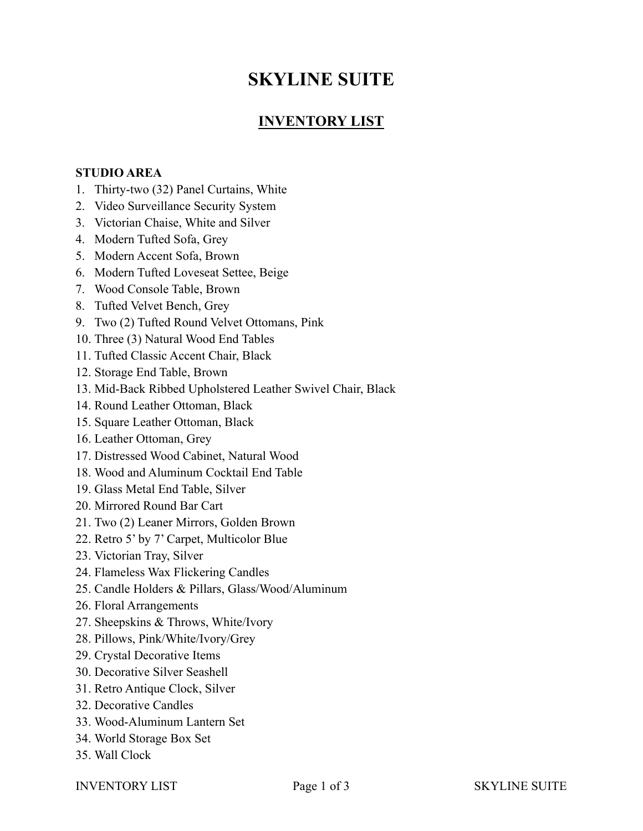# **SKYLINE SUITE**

## **INVENTORY LIST**

#### **STUDIO AREA**

- 1. Thirty-two (32) Panel Curtains, White
- 2. Video Surveillance Security System
- 3. Victorian Chaise, White and Silver
- 4. Modern Tufted Sofa, Grey
- 5. Modern Accent Sofa, Brown
- 6. Modern Tufted Loveseat Settee, Beige
- 7. Wood Console Table, Brown
- 8. Tufted Velvet Bench, Grey
- 9. Two (2) Tufted Round Velvet Ottomans, Pink
- 10. Three (3) Natural Wood End Tables
- 11. Tufted Classic Accent Chair, Black
- 12. Storage End Table, Brown
- 13. Mid-Back Ribbed Upholstered Leather Swivel Chair, Black
- 14. Round Leather Ottoman, Black
- 15. Square Leather Ottoman, Black
- 16. Leather Ottoman, Grey
- 17. Distressed Wood Cabinet, Natural Wood
- 18. Wood and Aluminum Cocktail End Table
- 19. Glass Metal End Table, Silver
- 20. Mirrored Round Bar Cart
- 21. Two (2) Leaner Mirrors, Golden Brown
- 22. Retro 5' by 7' Carpet, Multicolor Blue
- 23. Victorian Tray, Silver
- 24. Flameless Wax Flickering Candles
- 25. Candle Holders & Pillars, Glass/Wood/Aluminum
- 26. Floral Arrangements
- 27. Sheepskins & Throws, White/Ivory
- 28. Pillows, Pink/White/Ivory/Grey
- 29. Crystal Decorative Items
- 30. Decorative Silver Seashell
- 31. Retro Antique Clock, Silver
- 32. Decorative Candles
- 33. Wood-Aluminum Lantern Set
- 34. World Storage Box Set
- 35. Wall Clock

INVENTORY LIST Page 1 of 3 SKYLINE SUITE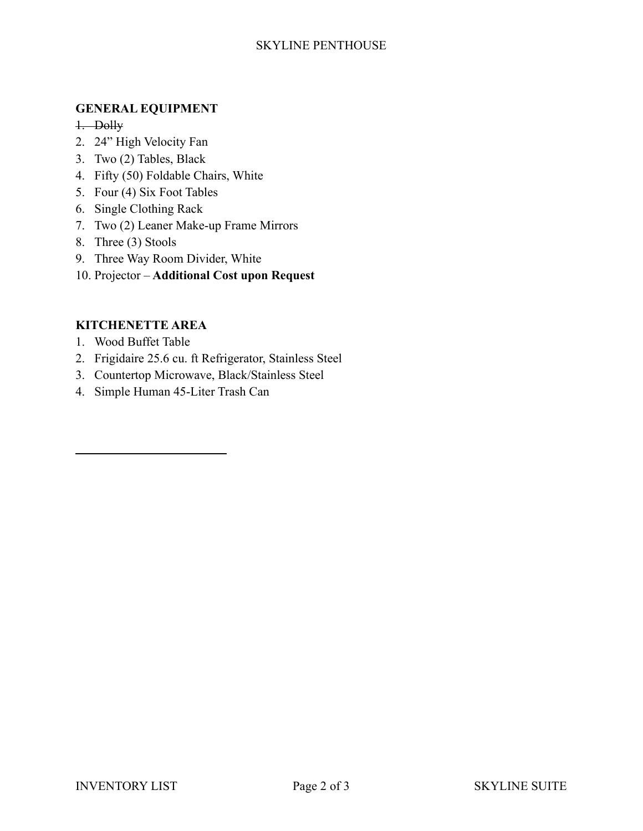#### SKYLINE PENTHOUSE

#### **GENERAL EQUIPMENT**

1. Dolly

- 2. 24" High Velocity Fan
- 3. Two (2) Tables, Black
- 4. Fifty (50) Foldable Chairs, White
- 5. Four (4) Six Foot Tables
- 6. Single Clothing Rack
- 7. Two (2) Leaner Make-up Frame Mirrors
- 8. Three (3) Stools
- 9. Three Way Room Divider, White
- 10. Projector **Additional Cost upon Request**

#### **KITCHENETTE AREA**

- 1. Wood Buffet Table
- 2. Frigidaire 25.6 cu. ft Refrigerator, Stainless Steel
- 3. Countertop Microwave, Black/Stainless Steel
- 4. Simple Human 45-Liter Trash Can